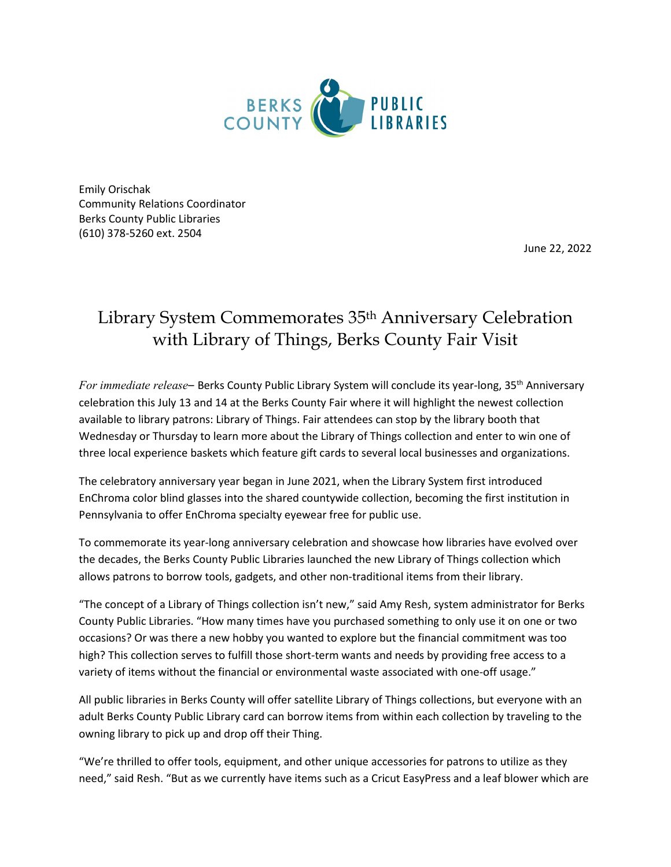

Emily Orischak Community Relations Coordinator Berks County Public Libraries (610) 378-5260 ext. 2504

June 22, 2022

## Library System Commemorates 35th Anniversary Celebration with Library of Things, Berks County Fair Visit

*For immediate release–* Berks County Public Library System will conclude its year-long, 35th Anniversary celebration this July 13 and 14 at the Berks County Fair where it will highlight the newest collection available to library patrons: Library of Things. Fair attendees can stop by the library booth that Wednesday or Thursday to learn more about the Library of Things collection and enter to win one of three local experience baskets which feature gift cards to several local businesses and organizations.

The celebratory anniversary year began in June 2021, when the Library System first introduced EnChroma color blind glasses into the shared countywide collection, becoming the first institution in Pennsylvania to offer EnChroma specialty eyewear free for public use.

To commemorate its year-long anniversary celebration and showcase how libraries have evolved over the decades, the Berks County Public Libraries launched the new Library of Things collection which allows patrons to borrow tools, gadgets, and other non-traditional items from their library.

"The concept of a Library of Things collection isn't new," said Amy Resh, system administrator for Berks County Public Libraries. "How many times have you purchased something to only use it on one or two occasions? Or was there a new hobby you wanted to explore but the financial commitment was too high? This collection serves to fulfill those short-term wants and needs by providing free access to a variety of items without the financial or environmental waste associated with one-off usage."

All public libraries in Berks County will offer satellite Library of Things collections, but everyone with an adult Berks County Public Library card can borrow items from within each collection by traveling to the owning library to pick up and drop off their Thing.

"We're thrilled to offer tools, equipment, and other unique accessories for patrons to utilize as they need," said Resh. "But as we currently have items such as a Cricut EasyPress and a leaf blower which are